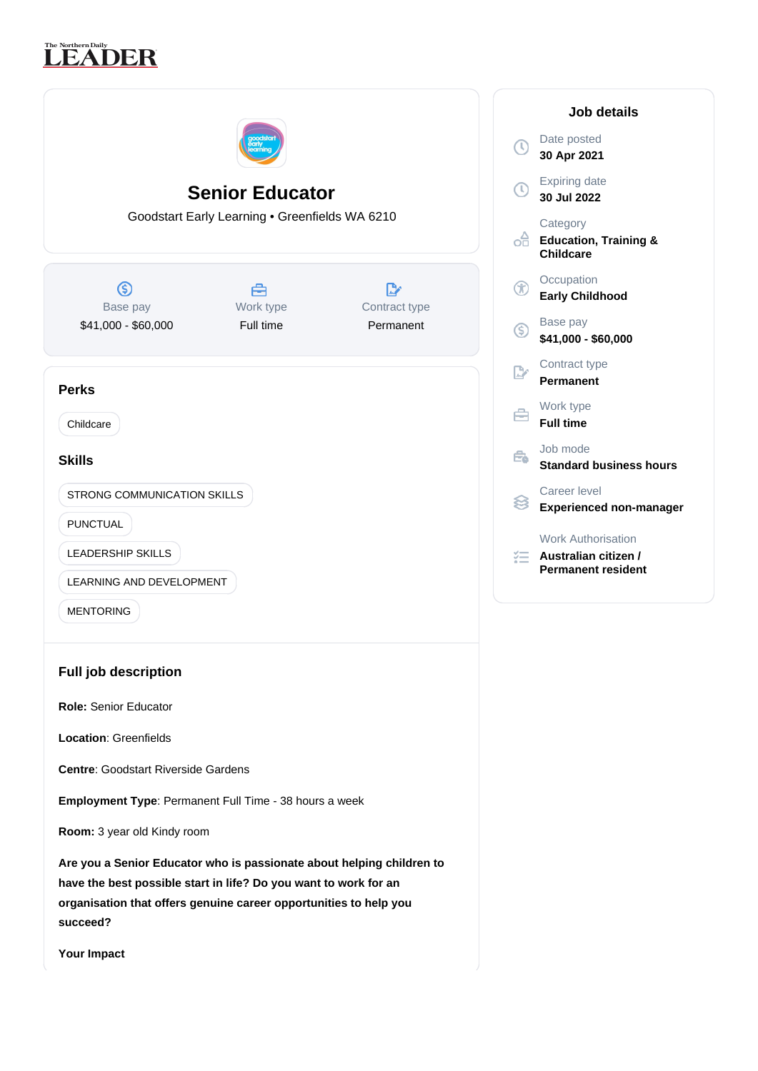# The Northern Daily<br>**LEADER**

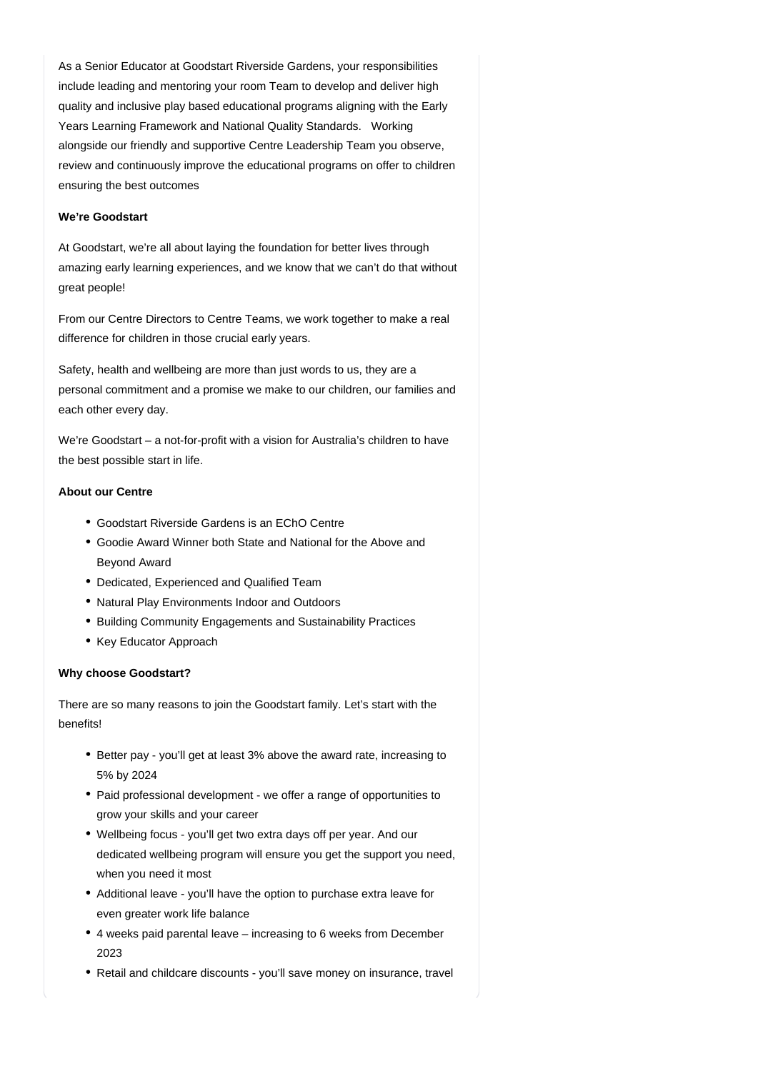As a Senior Educator at Goodstart Riverside Gardens, your responsibilities include leading and mentoring your room Team to develop and deliver high quality and inclusive play based educational programs aligning with the Early Years Learning Framework and National Quality Standards. Working alongside our friendly and supportive Centre Leadership Team you observe, review and continuously improve the educational programs on offer to children ensuring the best outcomes

## **We're Goodstart**

At Goodstart, we're all about laying the foundation for better lives through amazing early learning experiences, and we know that we can't do that without great people!

From our Centre Directors to Centre Teams, we work together to make a real difference for children in those crucial early years.

Safety, health and wellbeing are more than just words to us, they are a personal commitment and a promise we make to our children, our families and each other every day.

We're Goodstart – a not-for-profit with a vision for Australia's children to have the best possible start in life.

#### **About our Centre**

- Goodstart Riverside Gardens is an EChO Centre
- Goodie Award Winner both State and National for the Above and Beyond Award
- Dedicated, Experienced and Qualified Team
- Natural Play Environments Indoor and Outdoors
- Building Community Engagements and Sustainability Practices
- Key Educator Approach

#### **Why choose Goodstart?**

There are so many reasons to join the Goodstart family. Let's start with the benefits!

- Better pay you'll get at least 3% above the award rate, increasing to 5% by 2024
- Paid professional development we offer a range of opportunities to grow your skills and your career
- Wellbeing focus you'll get two extra days off per year. And our dedicated wellbeing program will ensure you get the support you need, when you need it most
- Additional leave you'll have the option to purchase extra leave for even greater work life balance
- 4 weeks paid parental leave increasing to 6 weeks from December 2023
- Retail and childcare discounts you'll save money on insurance, travel